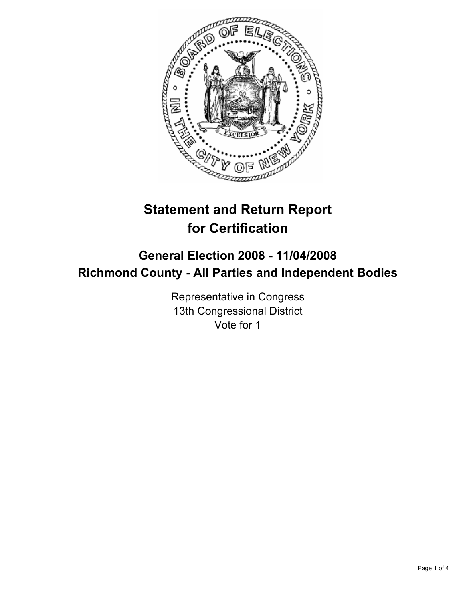

# **Statement and Return Report for Certification**

## **General Election 2008 - 11/04/2008 Richmond County - All Parties and Independent Bodies**

Representative in Congress 13th Congressional District Vote for 1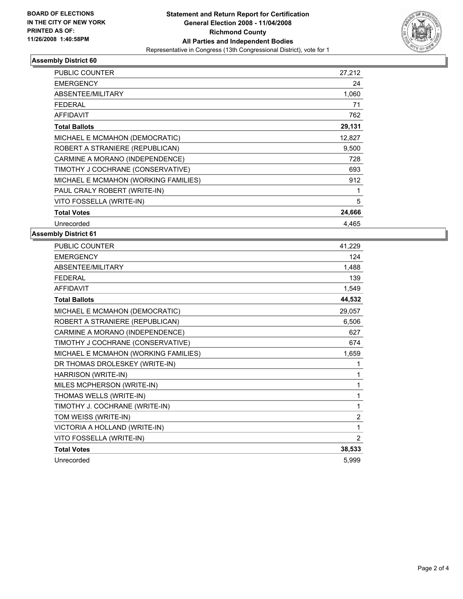

#### **Assembly District 60**

| <b>PUBLIC COUNTER</b>                | 27,212 |
|--------------------------------------|--------|
| <b>EMERGENCY</b>                     | 24     |
| ABSENTEE/MILITARY                    | 1,060  |
| FEDERAL                              | 71     |
| <b>AFFIDAVIT</b>                     | 762    |
| <b>Total Ballots</b>                 | 29,131 |
| MICHAEL E MCMAHON (DEMOCRATIC)       | 12,827 |
| ROBERT A STRANIERE (REPUBLICAN)      | 9,500  |
| CARMINE A MORANO (INDEPENDENCE)      | 728    |
| TIMOTHY J COCHRANE (CONSERVATIVE)    | 693    |
| MICHAEL E MCMAHON (WORKING FAMILIES) | 912    |
| PAUL CRALY ROBERT (WRITE-IN)         |        |
| VITO FOSSELLA (WRITE-IN)             | 5      |
| <b>Total Votes</b>                   | 24,666 |
| Unrecorded                           | 4.465  |

#### **Assembly District 61**

| <b>PUBLIC COUNTER</b>                | 41,229         |
|--------------------------------------|----------------|
| <b>EMERGENCY</b>                     | 124            |
| ABSENTEE/MILITARY                    | 1,488          |
| <b>FEDERAL</b>                       | 139            |
| <b>AFFIDAVIT</b>                     | 1,549          |
| <b>Total Ballots</b>                 | 44,532         |
| MICHAEL E MCMAHON (DEMOCRATIC)       | 29,057         |
| ROBERT A STRANIERE (REPUBLICAN)      | 6,506          |
| CARMINE A MORANO (INDEPENDENCE)      | 627            |
| TIMOTHY J COCHRANE (CONSERVATIVE)    | 674            |
| MICHAEL E MCMAHON (WORKING FAMILIES) | 1,659          |
| DR THOMAS DROLESKEY (WRITE-IN)       |                |
| HARRISON (WRITE-IN)                  |                |
| MILES MCPHERSON (WRITE-IN)           | 1              |
| THOMAS WELLS (WRITE-IN)              | 1              |
| TIMOTHY J. COCHRANE (WRITE-IN)       | 1              |
| TOM WEISS (WRITE-IN)                 | $\overline{c}$ |
| VICTORIA A HOLLAND (WRITE-IN)        | 1              |
| VITO FOSSELLA (WRITE-IN)             | 2              |
| <b>Total Votes</b>                   | 38,533         |
| Unrecorded                           | 5,999          |
|                                      |                |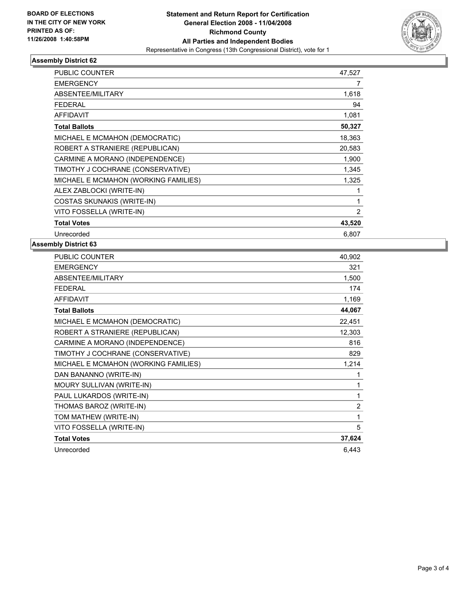

### **Assembly District 62**

| <b>PUBLIC COUNTER</b>                | 47,527 |
|--------------------------------------|--------|
| <b>EMERGENCY</b>                     | 7      |
| ABSENTEE/MILITARY                    | 1,618  |
| <b>FEDERAL</b>                       | 94     |
| <b>AFFIDAVIT</b>                     | 1,081  |
| <b>Total Ballots</b>                 | 50,327 |
| MICHAEL E MCMAHON (DEMOCRATIC)       | 18,363 |
| ROBERT A STRANIERE (REPUBLICAN)      | 20,583 |
| CARMINE A MORANO (INDEPENDENCE)      | 1,900  |
| TIMOTHY J COCHRANE (CONSERVATIVE)    | 1,345  |
| MICHAEL E MCMAHON (WORKING FAMILIES) | 1,325  |
| ALEX ZABLOCKI (WRITE-IN)             |        |
| <b>COSTAS SKUNAKIS (WRITE-IN)</b>    |        |
| VITO FOSSELLA (WRITE-IN)             | 2      |
| <b>Total Votes</b>                   | 43,520 |
| Unrecorded                           | 6,807  |

#### **Assembly District 63**

| PUBLIC COUNTER                       | 40,902         |
|--------------------------------------|----------------|
| <b>EMERGENCY</b>                     | 321            |
| ABSENTEE/MILITARY                    | 1,500          |
| <b>FEDERAL</b>                       | 174            |
| <b>AFFIDAVIT</b>                     | 1,169          |
| <b>Total Ballots</b>                 | 44,067         |
| MICHAEL E MCMAHON (DEMOCRATIC)       | 22,451         |
| ROBERT A STRANIERE (REPUBLICAN)      | 12,303         |
| CARMINE A MORANO (INDEPENDENCE)      | 816            |
| TIMOTHY J COCHRANE (CONSERVATIVE)    | 829            |
| MICHAEL E MCMAHON (WORKING FAMILIES) | 1,214          |
| DAN BANANNO (WRITE-IN)               |                |
| MOURY SULLIVAN (WRITE-IN)            |                |
| PAUL LUKARDOS (WRITE-IN)             |                |
| THOMAS BAROZ (WRITE-IN)              | $\overline{2}$ |
| TOM MATHEW (WRITE-IN)                | 1              |
| VITO FOSSELLA (WRITE-IN)             | 5              |
| <b>Total Votes</b>                   | 37,624         |
| Unrecorded                           | 6,443          |
|                                      |                |